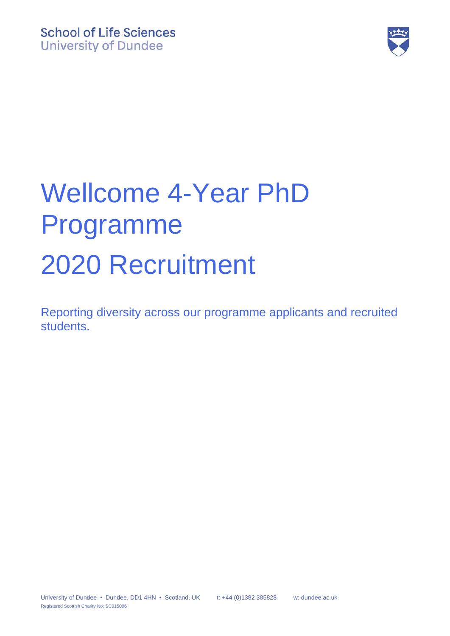

# Wellcome 4-Year PhD Programme 2020 Recruitment

Reporting diversity across our programme applicants and recruited students.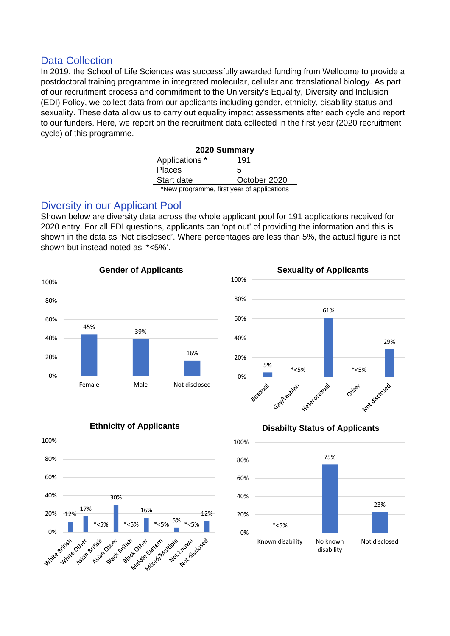### Data Collection

In 2019, the School of Life Sciences was successfully awarded funding from Wellcome to provide a postdoctoral training programme in integrated molecular, cellular and translational biology. As part of our recruitment process and commitment to the University's Equality, Diversity and Inclusion (EDI) Policy, we collect data from our applicants including gender, ethnicity, disability status and sexuality. These data allow us to carry out equality impact assessments after each cycle and report to our funders. Here, we report on the recruitment data collected in the first year (2020 recruitment cycle) of this programme.

| 2020 Summary   |              |
|----------------|--------------|
| Applications * | 191          |
| <b>Places</b>  | h            |
| Start date     | October 2020 |
| <br>$-1$       |              |

\*New programme, first year of applications

### Diversity in our Applicant Pool

Shown below are diversity data across the whole applicant pool for 191 applications received for 2020 entry. For all EDI questions, applicants can 'opt out' of providing the information and this is shown in the data as 'Not disclosed'. Where percentages are less than 5%, the actual figure is not shown but instead noted as '\*<5%'.









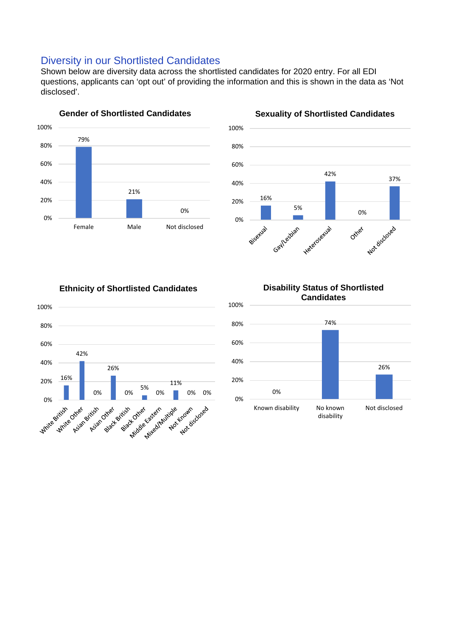### Diversity in our Shortlisted Candidates

Shown below are diversity data across the shortlisted candidates for 2020 entry. For all EDI questions, applicants can 'opt out' of providing the information and this is shown in the data as 'Not disclosed'.





## **Sexuality of Shortlisted Candidates**

#### **Ethnicity of Shortlisted Candidates**





**Disability Status of Shortlisted**